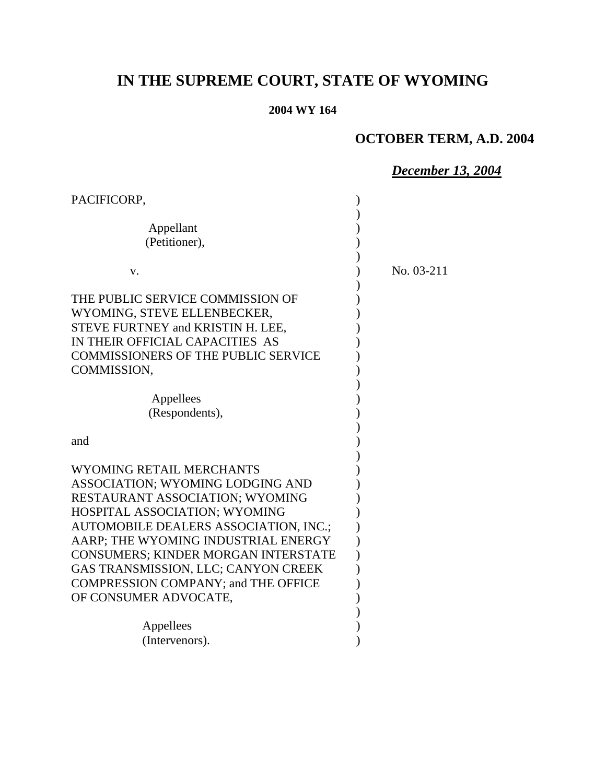# **IN THE SUPREME COURT, STATE OF WYOMING**

## **2004 WY 164**

## **OCTOBER TERM, A.D. 2004**

## *December 13, 2004*

| PACIFICORP,                                |            |
|--------------------------------------------|------------|
|                                            |            |
| Appellant                                  |            |
| (Petitioner),                              |            |
|                                            |            |
| V.                                         | No. 03-211 |
|                                            |            |
| THE PUBLIC SERVICE COMMISSION OF           |            |
| WYOMING, STEVE ELLENBECKER,                |            |
| STEVE FURTNEY and KRISTIN H. LEE,          |            |
| IN THEIR OFFICIAL CAPACITIES AS            |            |
| <b>COMMISSIONERS OF THE PUBLIC SERVICE</b> |            |
| COMMISSION,                                |            |
|                                            |            |
| Appellees                                  |            |
| (Respondents),                             |            |
|                                            |            |
| and                                        |            |
|                                            |            |
| <b>WYOMING RETAIL MERCHANTS</b>            |            |
| ASSOCIATION; WYOMING LODGING AND           |            |
| <b>RESTAURANT ASSOCIATION; WYOMING</b>     |            |
| HOSPITAL ASSOCIATION; WYOMING              |            |
|                                            |            |
| AUTOMOBILE DEALERS ASSOCIATION, INC.;      |            |
| AARP; THE WYOMING INDUSTRIAL ENERGY        |            |
| CONSUMERS; KINDER MORGAN INTERSTATE        |            |
| GAS TRANSMISSION, LLC; CANYON CREEK        |            |
| <b>COMPRESSION COMPANY; and THE OFFICE</b> |            |
| OF CONSUMER ADVOCATE,                      |            |
|                                            |            |
| Appellees                                  |            |
| (Intervenors).                             |            |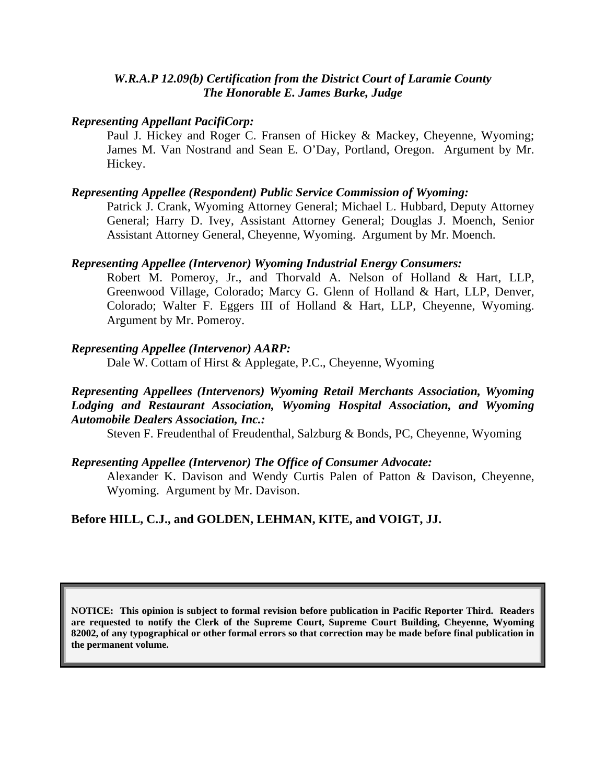#### *W.R.A.P 12.09(b) Certification from the District Court of Laramie County The Honorable E. James Burke, Judge*

#### *Representing Appellant PacifiCorp:*

Paul J. Hickey and Roger C. Fransen of Hickey & Mackey, Cheyenne, Wyoming; James M. Van Nostrand and Sean E. O'Day, Portland, Oregon. Argument by Mr. Hickey.

#### *Representing Appellee (Respondent) Public Service Commission of Wyoming:*

Patrick J. Crank, Wyoming Attorney General; Michael L. Hubbard, Deputy Attorney General; Harry D. Ivey, Assistant Attorney General; Douglas J. Moench, Senior Assistant Attorney General, Cheyenne, Wyoming. Argument by Mr. Moench.

#### *Representing Appellee (Intervenor) Wyoming Industrial Energy Consumers:*

Robert M. Pomeroy, Jr., and Thorvald A. Nelson of Holland & Hart, LLP, Greenwood Village, Colorado; Marcy G. Glenn of Holland & Hart, LLP, Denver, Colorado; Walter F. Eggers III of Holland & Hart, LLP, Cheyenne, Wyoming. Argument by Mr. Pomeroy.

#### *Representing Appellee (Intervenor) AARP:*

Dale W. Cottam of Hirst & Applegate, P.C., Cheyenne, Wyoming

### *Representing Appellees (Intervenors) Wyoming Retail Merchants Association, Wyoming Lodging and Restaurant Association, Wyoming Hospital Association, and Wyoming Automobile Dealers Association, Inc.:*

Steven F. Freudenthal of Freudenthal, Salzburg & Bonds, PC, Cheyenne, Wyoming

### *Representing Appellee (Intervenor) The Office of Consumer Advocate:*

Alexander K. Davison and Wendy Curtis Palen of Patton & Davison, Cheyenne, Wyoming. Argument by Mr. Davison.

## **Before HILL, C.J., and GOLDEN, LEHMAN, KITE, and VOIGT, JJ.**

**NOTICE: This opinion is subject to formal revision before publication in Pacific Reporter Third. Readers are requested to notify the Clerk of the Supreme Court, Supreme Court Building, Cheyenne, Wyoming 82002, of any typographical or other formal errors so that correction may be made before final publication in the permanent volume.**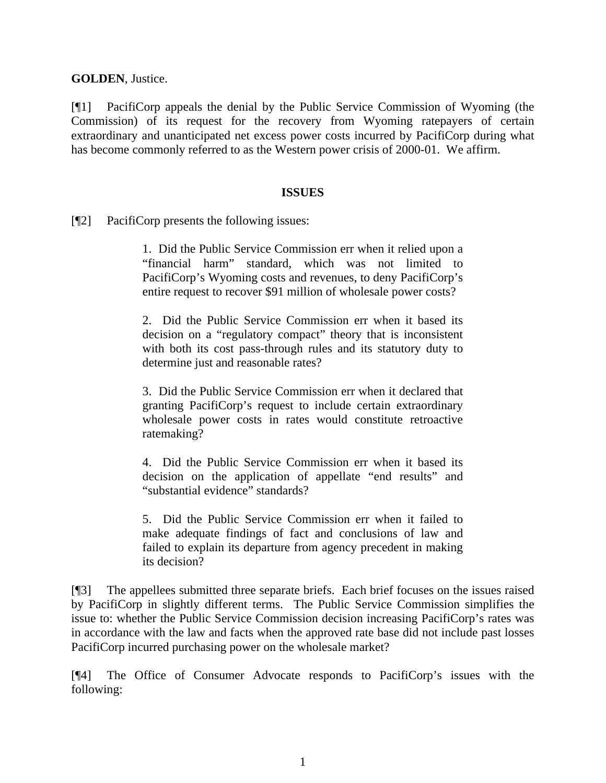**GOLDEN**, Justice.

[¶1] PacifiCorp appeals the denial by the Public Service Commission of Wyoming (the Commission) of its request for the recovery from Wyoming ratepayers of certain extraordinary and unanticipated net excess power costs incurred by PacifiCorp during what has become commonly referred to as the Western power crisis of 2000-01. We affirm.

#### **ISSUES**

[¶2] PacifiCorp presents the following issues:

1. Did the Public Service Commission err when it relied upon a "financial harm" standard, which was not limited to PacifiCorp's Wyoming costs and revenues, to deny PacifiCorp's entire request to recover \$91 million of wholesale power costs?

2. Did the Public Service Commission err when it based its decision on a "regulatory compact" theory that is inconsistent with both its cost pass-through rules and its statutory duty to determine just and reasonable rates?

3. Did the Public Service Commission err when it declared that granting PacifiCorp's request to include certain extraordinary wholesale power costs in rates would constitute retroactive ratemaking?

4. Did the Public Service Commission err when it based its decision on the application of appellate "end results" and "substantial evidence" standards?

5. Did the Public Service Commission err when it failed to make adequate findings of fact and conclusions of law and failed to explain its departure from agency precedent in making its decision?

[¶3] The appellees submitted three separate briefs. Each brief focuses on the issues raised by PacifiCorp in slightly different terms. The Public Service Commission simplifies the issue to: whether the Public Service Commission decision increasing PacifiCorp's rates was in accordance with the law and facts when the approved rate base did not include past losses PacifiCorp incurred purchasing power on the wholesale market?

[¶4] The Office of Consumer Advocate responds to PacifiCorp's issues with the following: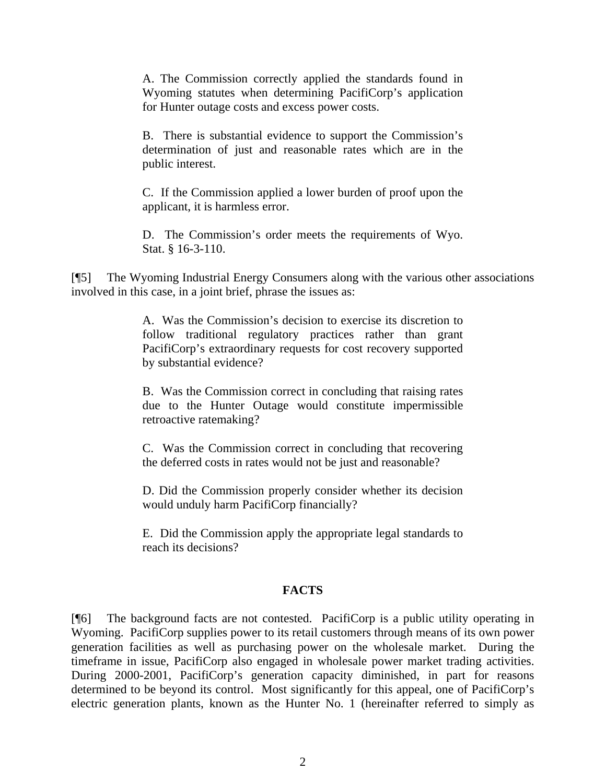A. The Commission correctly applied the standards found in Wyoming statutes when determining PacifiCorp's application for Hunter outage costs and excess power costs.

B. There is substantial evidence to support the Commission's determination of just and reasonable rates which are in the public interest.

C. If the Commission applied a lower burden of proof upon the applicant, it is harmless error.

D. The Commission's order meets the requirements of Wyo. Stat. § 16-3-110.

[¶5] The Wyoming Industrial Energy Consumers along with the various other associations involved in this case, in a joint brief, phrase the issues as:

> A. Was the Commission's decision to exercise its discretion to follow traditional regulatory practices rather than grant PacifiCorp's extraordinary requests for cost recovery supported by substantial evidence?

> B. Was the Commission correct in concluding that raising rates due to the Hunter Outage would constitute impermissible retroactive ratemaking?

> C. Was the Commission correct in concluding that recovering the deferred costs in rates would not be just and reasonable?

> D. Did the Commission properly consider whether its decision would unduly harm PacifiCorp financially?

> E. Did the Commission apply the appropriate legal standards to reach its decisions?

## **FACTS**

[¶6] The background facts are not contested. PacifiCorp is a public utility operating in Wyoming. PacifiCorp supplies power to its retail customers through means of its own power generation facilities as well as purchasing power on the wholesale market. During the timeframe in issue, PacifiCorp also engaged in wholesale power market trading activities. During 2000-2001, PacifiCorp's generation capacity diminished, in part for reasons determined to be beyond its control. Most significantly for this appeal, one of PacifiCorp's electric generation plants, known as the Hunter No. 1 (hereinafter referred to simply as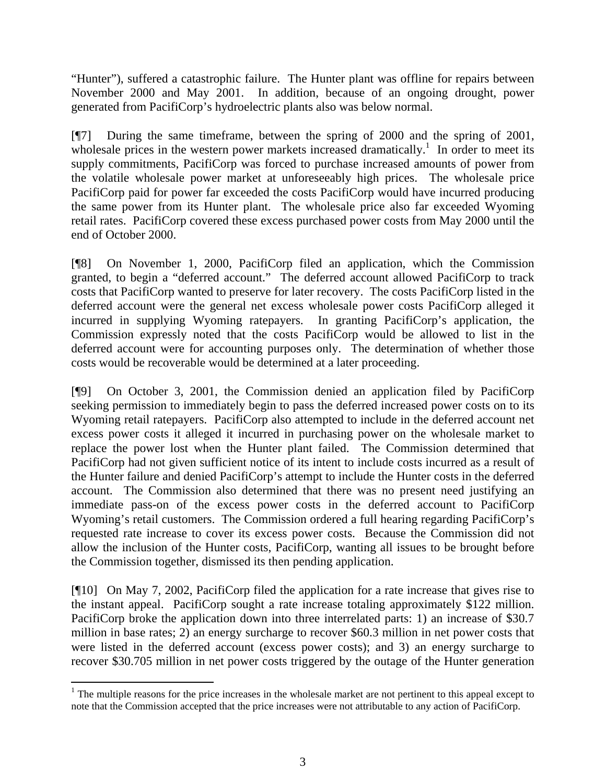"Hunter"), suffered a catastrophic failure. The Hunter plant was offline for repairs between November 2000 and May 2001. In addition, because of an ongoing drought, power generated from PacifiCorp's hydroelectric plants also was below normal.

[¶7] During the same timeframe, between the spring of 2000 and the spring of 2001, wholesale prices in the western power markets increased dramatically.<sup>1</sup> In order to meet its supply commitments, PacifiCorp was forced to purchase increased amounts of power from the volatile wholesale power market at unforeseeably high prices. The wholesale price PacifiCorp paid for power far exceeded the costs PacifiCorp would have incurred producing the same power from its Hunter plant. The wholesale price also far exceeded Wyoming retail rates. PacifiCorp covered these excess purchased power costs from May 2000 until the end of October 2000.

[¶8] On November 1, 2000, PacifiCorp filed an application, which the Commission granted, to begin a "deferred account." The deferred account allowed PacifiCorp to track costs that PacifiCorp wanted to preserve for later recovery. The costs PacifiCorp listed in the deferred account were the general net excess wholesale power costs PacifiCorp alleged it incurred in supplying Wyoming ratepayers. In granting PacifiCorp's application, the Commission expressly noted that the costs PacifiCorp would be allowed to list in the deferred account were for accounting purposes only. The determination of whether those costs would be recoverable would be determined at a later proceeding.

[¶9] On October 3, 2001, the Commission denied an application filed by PacifiCorp seeking permission to immediately begin to pass the deferred increased power costs on to its Wyoming retail ratepayers. PacifiCorp also attempted to include in the deferred account net excess power costs it alleged it incurred in purchasing power on the wholesale market to replace the power lost when the Hunter plant failed. The Commission determined that PacifiCorp had not given sufficient notice of its intent to include costs incurred as a result of the Hunter failure and denied PacifiCorp's attempt to include the Hunter costs in the deferred account. The Commission also determined that there was no present need justifying an immediate pass-on of the excess power costs in the deferred account to PacifiCorp Wyoming's retail customers. The Commission ordered a full hearing regarding PacifiCorp's requested rate increase to cover its excess power costs. Because the Commission did not allow the inclusion of the Hunter costs, PacifiCorp, wanting all issues to be brought before the Commission together, dismissed its then pending application.

[¶10] On May 7, 2002, PacifiCorp filed the application for a rate increase that gives rise to the instant appeal. PacifiCorp sought a rate increase totaling approximately \$122 million. PacifiCorp broke the application down into three interrelated parts: 1) an increase of \$30.7 million in base rates; 2) an energy surcharge to recover \$60.3 million in net power costs that were listed in the deferred account (excess power costs); and 3) an energy surcharge to recover \$30.705 million in net power costs triggered by the outage of the Hunter generation

 $\frac{1}{1}$  $1$ . The multiple reasons for the price increases in the wholesale market are not pertinent to this appeal except to note that the Commission accepted that the price increases were not attributable to any action of PacifiCorp.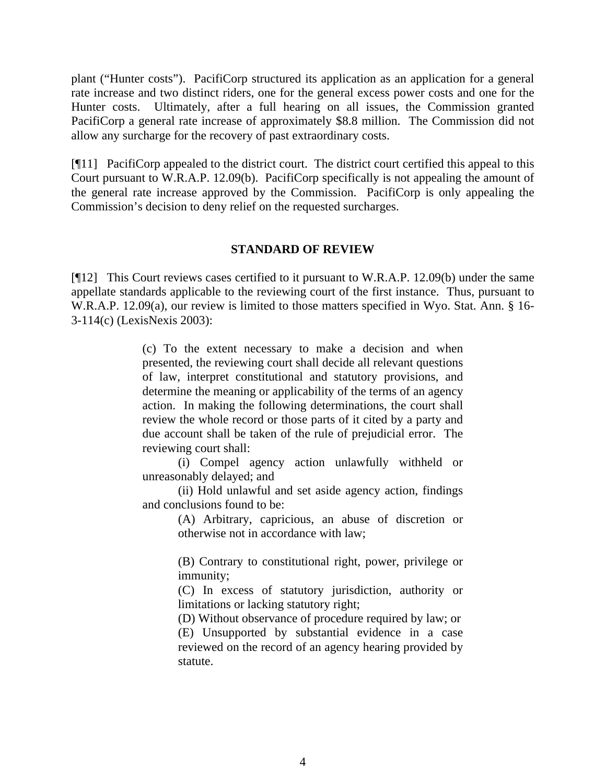plant ("Hunter costs"). PacifiCorp structured its application as an application for a general rate increase and two distinct riders, one for the general excess power costs and one for the Hunter costs. Ultimately, after a full hearing on all issues, the Commission granted PacifiCorp a general rate increase of approximately \$8.8 million. The Commission did not allow any surcharge for the recovery of past extraordinary costs.

[¶11] PacifiCorp appealed to the district court. The district court certified this appeal to this Court pursuant to W.R.A.P. 12.09(b). PacifiCorp specifically is not appealing the amount of the general rate increase approved by the Commission. PacifiCorp is only appealing the Commission's decision to deny relief on the requested surcharges.

#### **STANDARD OF REVIEW**

[¶12] This Court reviews cases certified to it pursuant to W.R.A.P. 12.09(b) under the same appellate standards applicable to the reviewing court of the first instance. Thus, pursuant to W.R.A.P. 12.09(a), our review is limited to those matters specified in Wyo. Stat. Ann. § 16- 3-114(c) (LexisNexis 2003):

> (c) To the extent necessary to make a decision and when presented, the reviewing court shall decide all relevant questions of law, interpret constitutional and statutory provisions, and determine the meaning or applicability of the terms of an agency action. In making the following determinations, the court shall review the whole record or those parts of it cited by a party and due account shall be taken of the rule of prejudicial error. The reviewing court shall:

> (i) Compel agency action unlawfully withheld or unreasonably delayed; and

> (ii) Hold unlawful and set aside agency action, findings and conclusions found to be:

> > (A) Arbitrary, capricious, an abuse of discretion or otherwise not in accordance with law;

> > (B) Contrary to constitutional right, power, privilege or immunity;

> > (C) In excess of statutory jurisdiction, authority or limitations or lacking statutory right;

> > (D) Without observance of procedure required by law; or (E) Unsupported by substantial evidence in a case reviewed on the record of an agency hearing provided by statute.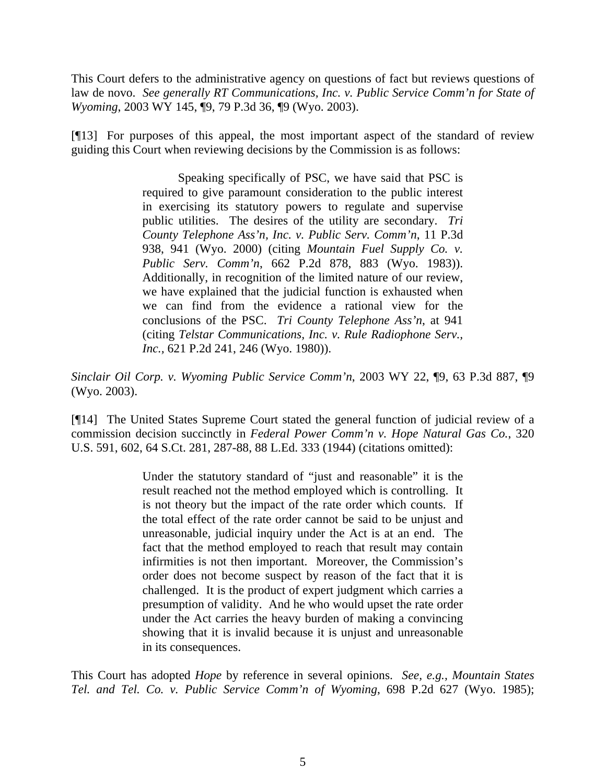This Court defers to the administrative agency on questions of fact but reviews questions of law de novo. *See generally RT Communications, Inc. v. Public Service Comm'n for State of Wyoming*, 2003 WY 145, ¶9, 79 P.3d 36, ¶9 (Wyo. 2003).

[¶13] For purposes of this appeal, the most important aspect of the standard of review guiding this Court when reviewing decisions by the Commission is as follows:

> Speaking specifically of PSC, we have said that PSC is required to give paramount consideration to the public interest in exercising its statutory powers to regulate and supervise public utilities. The desires of the utility are secondary. *Tri County Telephone Ass'n, Inc. v. Public Serv. Comm'n*, 11 P.3d 938, 941 (Wyo. 2000) (citing *Mountain Fuel Supply Co. v. Public Serv. Comm'n*, 662 P.2d 878, 883 (Wyo. 1983)). Additionally, in recognition of the limited nature of our review, we have explained that the judicial function is exhausted when we can find from the evidence a rational view for the conclusions of the PSC. *Tri County Telephone Ass'n*, at 941 (citing *Telstar Communications, Inc. v. Rule Radiophone Serv., Inc.,* 621 P.2d 241, 246 (Wyo. 1980)).

*Sinclair Oil Corp. v. Wyoming Public Service Comm'n*, 2003 WY 22, ¶9, 63 P.3d 887, ¶9 (Wyo. 2003).

[¶14] The United States Supreme Court stated the general function of judicial review of a commission decision succinctly in *Federal Power Comm'n v. Hope Natural Gas Co.*, 320 U.S. 591, 602, 64 S.Ct. 281, 287-88, 88 L.Ed. 333 (1944) (citations omitted):

> Under the statutory standard of "just and reasonable" it is the result reached not the method employed which is controlling. It is not theory but the impact of the rate order which counts. If the total effect of the rate order cannot be said to be unjust and unreasonable, judicial inquiry under the Act is at an end. The fact that the method employed to reach that result may contain infirmities is not then important. Moreover, the Commission's order does not become suspect by reason of the fact that it is challenged. It is the product of expert judgment which carries a presumption of validity. And he who would upset the rate order under the Act carries the heavy burden of making a convincing showing that it is invalid because it is unjust and unreasonable in its consequences.

This Court has adopted *Hope* by reference in several opinions. *See, e.g., Mountain States Tel. and Tel. Co. v. Public Service Comm'n of Wyoming*, 698 P.2d 627 (Wyo. 1985);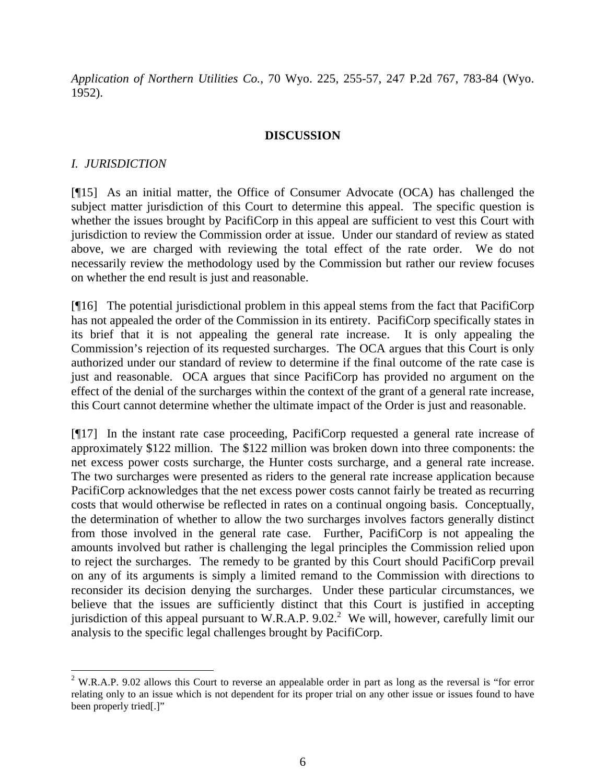*Application of Northern Utilities Co.,* 70 Wyo. 225, 255-57, 247 P.2d 767, 783-84 (Wyo. 1952).

### **DISCUSSION**

## *I. JURISDICTION*

[¶15] As an initial matter, the Office of Consumer Advocate (OCA) has challenged the subject matter jurisdiction of this Court to determine this appeal. The specific question is whether the issues brought by PacifiCorp in this appeal are sufficient to vest this Court with jurisdiction to review the Commission order at issue. Under our standard of review as stated above, we are charged with reviewing the total effect of the rate order. We do not necessarily review the methodology used by the Commission but rather our review focuses on whether the end result is just and reasonable.

[¶16] The potential jurisdictional problem in this appeal stems from the fact that PacifiCorp has not appealed the order of the Commission in its entirety. PacifiCorp specifically states in its brief that it is not appealing the general rate increase. It is only appealing the Commission's rejection of its requested surcharges. The OCA argues that this Court is only authorized under our standard of review to determine if the final outcome of the rate case is just and reasonable. OCA argues that since PacifiCorp has provided no argument on the effect of the denial of the surcharges within the context of the grant of a general rate increase, this Court cannot determine whether the ultimate impact of the Order is just and reasonable.

[¶17] In the instant rate case proceeding, PacifiCorp requested a general rate increase of approximately \$122 million. The \$122 million was broken down into three components: the net excess power costs surcharge, the Hunter costs surcharge, and a general rate increase. The two surcharges were presented as riders to the general rate increase application because PacifiCorp acknowledges that the net excess power costs cannot fairly be treated as recurring costs that would otherwise be reflected in rates on a continual ongoing basis. Conceptually, the determination of whether to allow the two surcharges involves factors generally distinct from those involved in the general rate case. Further, PacifiCorp is not appealing the amounts involved but rather is challenging the legal principles the Commission relied upon to reject the surcharges. The remedy to be granted by this Court should PacifiCorp prevail on any of its arguments is simply a limited remand to the Commission with directions to reconsider its decision denying the surcharges. Under these particular circumstances, we believe that the issues are sufficiently distinct that this Court is justified in accepting jurisdiction of this appeal pursuant to W.R.A.P. 9.02.<sup>2</sup> We will, however, carefully limit our analysis to the specific legal challenges brought by PacifiCorp.

 $\frac{1}{2}$ <sup>2</sup> W.R.A.P. 9.02 allows this Court to reverse an appealable order in part as long as the reversal is "for error relating only to an issue which is not dependent for its proper trial on any other issue or issues found to have been properly tried[.]"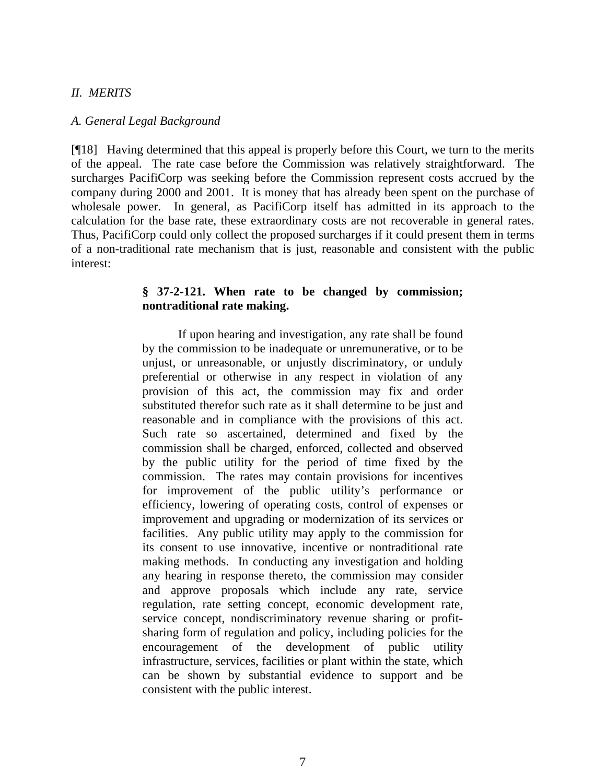#### *II. MERITS*

#### *A. General Legal Background*

[¶18] Having determined that this appeal is properly before this Court, we turn to the merits of the appeal. The rate case before the Commission was relatively straightforward. The surcharges PacifiCorp was seeking before the Commission represent costs accrued by the company during 2000 and 2001. It is money that has already been spent on the purchase of wholesale power. In general, as PacifiCorp itself has admitted in its approach to the calculation for the base rate, these extraordinary costs are not recoverable in general rates. Thus, PacifiCorp could only collect the proposed surcharges if it could present them in terms of a non-traditional rate mechanism that is just, reasonable and consistent with the public interest:

#### **§ 37-2-121. When rate to be changed by commission; nontraditional rate making.**

If upon hearing and investigation, any rate shall be found by the commission to be inadequate or unremunerative, or to be unjust, or unreasonable, or unjustly discriminatory, or unduly preferential or otherwise in any respect in violation of any provision of this act, the commission may fix and order substituted therefor such rate as it shall determine to be just and reasonable and in compliance with the provisions of this act. Such rate so ascertained, determined and fixed by the commission shall be charged, enforced, collected and observed by the public utility for the period of time fixed by the commission. The rates may contain provisions for incentives for improvement of the public utility's performance or efficiency, lowering of operating costs, control of expenses or improvement and upgrading or modernization of its services or facilities. Any public utility may apply to the commission for its consent to use innovative, incentive or nontraditional rate making methods. In conducting any investigation and holding any hearing in response thereto, the commission may consider and approve proposals which include any rate, service regulation, rate setting concept, economic development rate, service concept, nondiscriminatory revenue sharing or profitsharing form of regulation and policy, including policies for the encouragement of the development of public utility infrastructure, services, facilities or plant within the state, which can be shown by substantial evidence to support and be consistent with the public interest.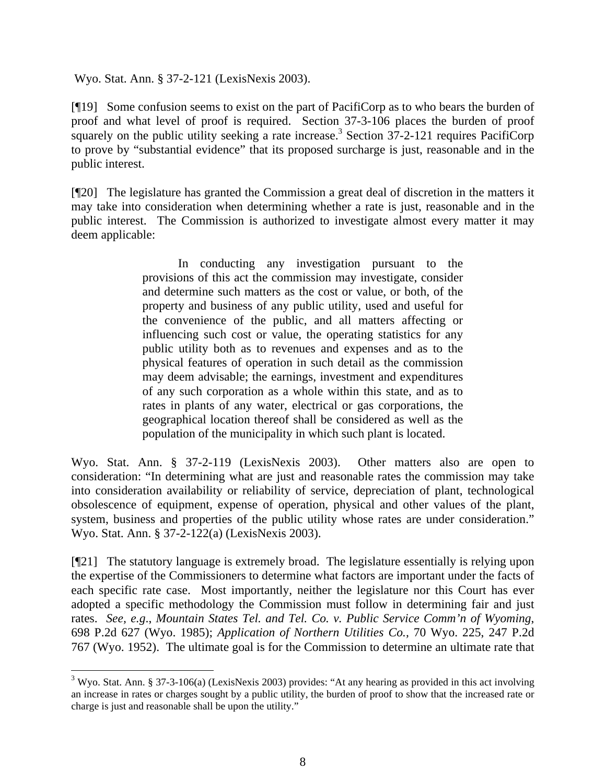Wyo. Stat. Ann. § 37-2-121 (LexisNexis 2003).

[¶19] Some confusion seems to exist on the part of PacifiCorp as to who bears the burden of proof and what level of proof is required. Section 37-3-106 places the burden of proof squarely on the public utility seeking a rate increase.<sup>3</sup> Section  $37$ -2-121 requires PacifiCorp to prove by "substantial evidence" that its proposed surcharge is just, reasonable and in the public interest.

[¶20] The legislature has granted the Commission a great deal of discretion in the matters it may take into consideration when determining whether a rate is just, reasonable and in the public interest. The Commission is authorized to investigate almost every matter it may deem applicable:

> In conducting any investigation pursuant to the provisions of this act the commission may investigate, consider and determine such matters as the cost or value, or both, of the property and business of any public utility, used and useful for the convenience of the public, and all matters affecting or influencing such cost or value, the operating statistics for any public utility both as to revenues and expenses and as to the physical features of operation in such detail as the commission may deem advisable; the earnings, investment and expenditures of any such corporation as a whole within this state, and as to rates in plants of any water, electrical or gas corporations, the geographical location thereof shall be considered as well as the population of the municipality in which such plant is located.

Wyo. Stat. Ann. § 37-2-119 (LexisNexis 2003). Other matters also are open to consideration: "In determining what are just and reasonable rates the commission may take into consideration availability or reliability of service, depreciation of plant, technological obsolescence of equipment, expense of operation, physical and other values of the plant, system, business and properties of the public utility whose rates are under consideration." Wyo. Stat. Ann. § 37-2-122(a) (LexisNexis 2003).

[¶21] The statutory language is extremely broad. The legislature essentially is relying upon the expertise of the Commissioners to determine what factors are important under the facts of each specific rate case. Most importantly, neither the legislature nor this Court has ever adopted a specific methodology the Commission must follow in determining fair and just rates. *See, e.g*., *Mountain States Tel. and Tel. Co. v. Public Service Comm'n of Wyoming*, 698 P.2d 627 (Wyo. 1985); *Application of Northern Utilities Co.,* 70 Wyo. 225, 247 P.2d 767 (Wyo. 1952). The ultimate goal is for the Commission to determine an ultimate rate that

 $\frac{1}{3}$ <sup>3</sup> Wyo. Stat. Ann. § 37-3-106(a) (LexisNexis 2003) provides: "At any hearing as provided in this act involving an increase in rates or charges sought by a public utility, the burden of proof to show that the increased rate or charge is just and reasonable shall be upon the utility."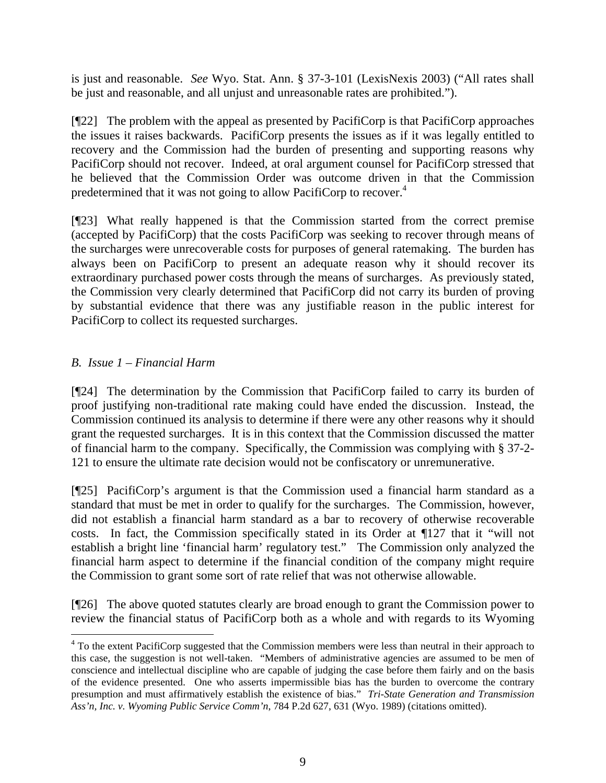is just and reasonable. *See* Wyo. Stat. Ann. § 37-3-101 (LexisNexis 2003) ("All rates shall be just and reasonable, and all unjust and unreasonable rates are prohibited.").

[¶22] The problem with the appeal as presented by PacifiCorp is that PacifiCorp approaches the issues it raises backwards. PacifiCorp presents the issues as if it was legally entitled to recovery and the Commission had the burden of presenting and supporting reasons why PacifiCorp should not recover. Indeed, at oral argument counsel for PacifiCorp stressed that he believed that the Commission Order was outcome driven in that the Commission predetermined that it was not going to allow PacifiCorp to recover.<sup>4</sup>

[¶23] What really happened is that the Commission started from the correct premise (accepted by PacifiCorp) that the costs PacifiCorp was seeking to recover through means of the surcharges were unrecoverable costs for purposes of general ratemaking. The burden has always been on PacifiCorp to present an adequate reason why it should recover its extraordinary purchased power costs through the means of surcharges. As previously stated, the Commission very clearly determined that PacifiCorp did not carry its burden of proving by substantial evidence that there was any justifiable reason in the public interest for PacifiCorp to collect its requested surcharges.

### *B. Issue 1 – Financial Harm*

[¶24] The determination by the Commission that PacifiCorp failed to carry its burden of proof justifying non-traditional rate making could have ended the discussion. Instead, the Commission continued its analysis to determine if there were any other reasons why it should grant the requested surcharges. It is in this context that the Commission discussed the matter of financial harm to the company. Specifically, the Commission was complying with § 37-2- 121 to ensure the ultimate rate decision would not be confiscatory or unremunerative.

[¶25] PacifiCorp's argument is that the Commission used a financial harm standard as a standard that must be met in order to qualify for the surcharges. The Commission, however, did not establish a financial harm standard as a bar to recovery of otherwise recoverable costs. In fact, the Commission specifically stated in its Order at ¶127 that it "will not establish a bright line 'financial harm' regulatory test." The Commission only analyzed the financial harm aspect to determine if the financial condition of the company might require the Commission to grant some sort of rate relief that was not otherwise allowable.

[¶26] The above quoted statutes clearly are broad enough to grant the Commission power to review the financial status of PacifiCorp both as a whole and with regards to its Wyoming

 $\frac{1}{4}$ <sup>4</sup> To the extent PacifiCorp suggested that the Commission members were less than neutral in their approach to this case, the suggestion is not well-taken. "Members of administrative agencies are assumed to be men of conscience and intellectual discipline who are capable of judging the case before them fairly and on the basis of the evidence presented. One who asserts impermissible bias has the burden to overcome the contrary presumption and must affirmatively establish the existence of bias." *Tri-State Generation and Transmission Ass'n, Inc. v. Wyoming Public Service Comm'n*, 784 P.2d 627, 631 (Wyo. 1989) (citations omitted).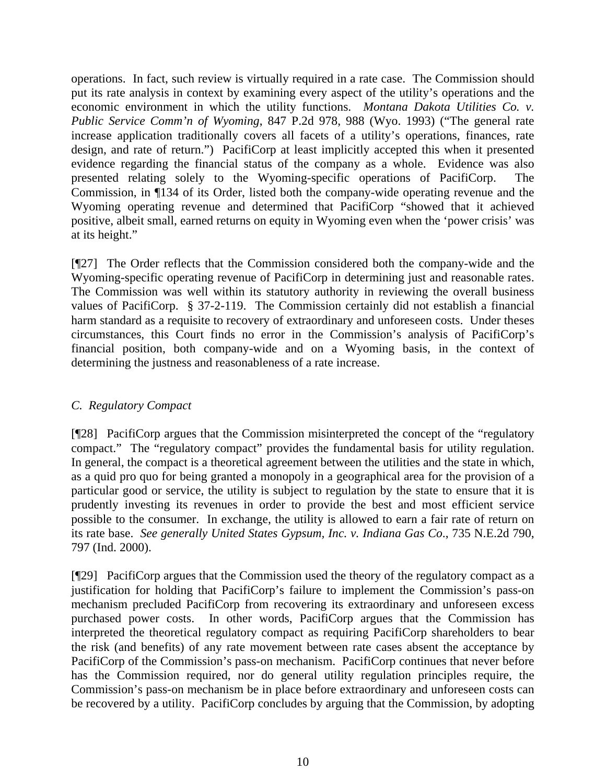operations. In fact, such review is virtually required in a rate case. The Commission should put its rate analysis in context by examining every aspect of the utility's operations and the economic environment in which the utility functions. *Montana Dakota Utilities Co. v. Public Service Comm'n of Wyoming*, 847 P.2d 978, 988 (Wyo. 1993) ("The general rate increase application traditionally covers all facets of a utility's operations, finances, rate design, and rate of return.") PacifiCorp at least implicitly accepted this when it presented evidence regarding the financial status of the company as a whole. Evidence was also presented relating solely to the Wyoming-specific operations of PacifiCorp. The Commission, in ¶134 of its Order, listed both the company-wide operating revenue and the Wyoming operating revenue and determined that PacifiCorp "showed that it achieved positive, albeit small, earned returns on equity in Wyoming even when the 'power crisis' was at its height."

[¶27] The Order reflects that the Commission considered both the company-wide and the Wyoming-specific operating revenue of PacifiCorp in determining just and reasonable rates. The Commission was well within its statutory authority in reviewing the overall business values of PacifiCorp. § 37-2-119. The Commission certainly did not establish a financial harm standard as a requisite to recovery of extraordinary and unforeseen costs. Under theses circumstances, this Court finds no error in the Commission's analysis of PacifiCorp's financial position, both company-wide and on a Wyoming basis, in the context of determining the justness and reasonableness of a rate increase.

## *C. Regulatory Compact*

[¶28] PacifiCorp argues that the Commission misinterpreted the concept of the "regulatory compact." The "regulatory compact" provides the fundamental basis for utility regulation. In general, the compact is a theoretical agreement between the utilities and the state in which, as a quid pro quo for being granted a monopoly in a geographical area for the provision of a particular good or service, the utility is subject to regulation by the state to ensure that it is prudently investing its revenues in order to provide the best and most efficient service possible to the consumer. In exchange, the utility is allowed to earn a fair rate of return on its rate base. *See generally United States Gypsum, Inc. v. Indiana Gas Co*., 735 N.E.2d 790, 797 (Ind. 2000).

[¶29] PacifiCorp argues that the Commission used the theory of the regulatory compact as a justification for holding that PacifiCorp's failure to implement the Commission's pass-on mechanism precluded PacifiCorp from recovering its extraordinary and unforeseen excess purchased power costs. In other words, PacifiCorp argues that the Commission has interpreted the theoretical regulatory compact as requiring PacifiCorp shareholders to bear the risk (and benefits) of any rate movement between rate cases absent the acceptance by PacifiCorp of the Commission's pass-on mechanism. PacifiCorp continues that never before has the Commission required, nor do general utility regulation principles require, the Commission's pass-on mechanism be in place before extraordinary and unforeseen costs can be recovered by a utility. PacifiCorp concludes by arguing that the Commission, by adopting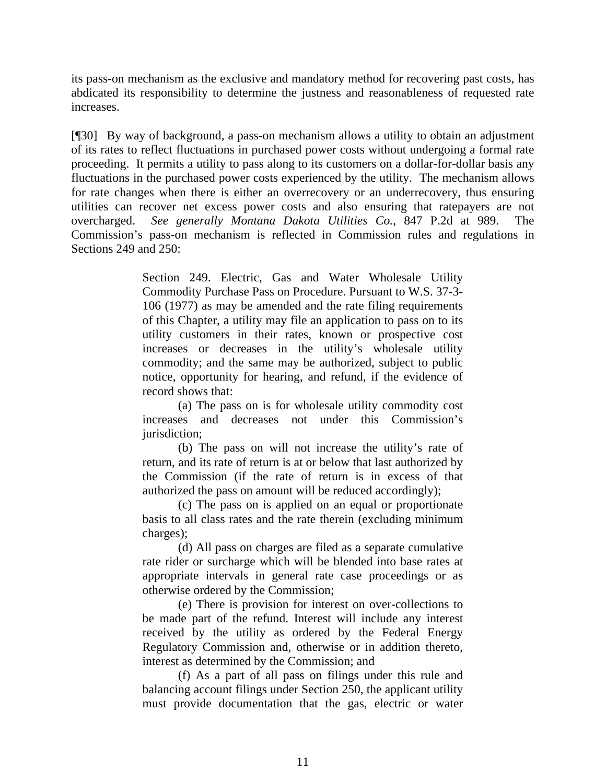its pass-on mechanism as the exclusive and mandatory method for recovering past costs, has abdicated its responsibility to determine the justness and reasonableness of requested rate increases.

[¶30] By way of background, a pass-on mechanism allows a utility to obtain an adjustment of its rates to reflect fluctuations in purchased power costs without undergoing a formal rate proceeding. It permits a utility to pass along to its customers on a dollar-for-dollar basis any fluctuations in the purchased power costs experienced by the utility. The mechanism allows for rate changes when there is either an overrecovery or an underrecovery, thus ensuring utilities can recover net excess power costs and also ensuring that ratepayers are not overcharged. *See generally Montana Dakota Utilities Co.*, 847 P.2d at 989. The Commission's pass-on mechanism is reflected in Commission rules and regulations in Sections 249 and 250:

> Section 249. Electric, Gas and Water Wholesale Utility Commodity Purchase Pass on Procedure. Pursuant to W.S. 37-3- 106 (1977) as may be amended and the rate filing requirements of this Chapter, a utility may file an application to pass on to its utility customers in their rates, known or prospective cost increases or decreases in the utility's wholesale utility commodity; and the same may be authorized, subject to public notice, opportunity for hearing, and refund, if the evidence of record shows that:

> (a) The pass on is for wholesale utility commodity cost increases and decreases not under this Commission's jurisdiction;

> (b) The pass on will not increase the utility's rate of return, and its rate of return is at or below that last authorized by the Commission (if the rate of return is in excess of that authorized the pass on amount will be reduced accordingly);

> (c) The pass on is applied on an equal or proportionate basis to all class rates and the rate therein (excluding minimum charges);

> (d) All pass on charges are filed as a separate cumulative rate rider or surcharge which will be blended into base rates at appropriate intervals in general rate case proceedings or as otherwise ordered by the Commission;

> (e) There is provision for interest on over-collections to be made part of the refund. Interest will include any interest received by the utility as ordered by the Federal Energy Regulatory Commission and, otherwise or in addition thereto, interest as determined by the Commission; and

> (f) As a part of all pass on filings under this rule and balancing account filings under Section 250, the applicant utility must provide documentation that the gas, electric or water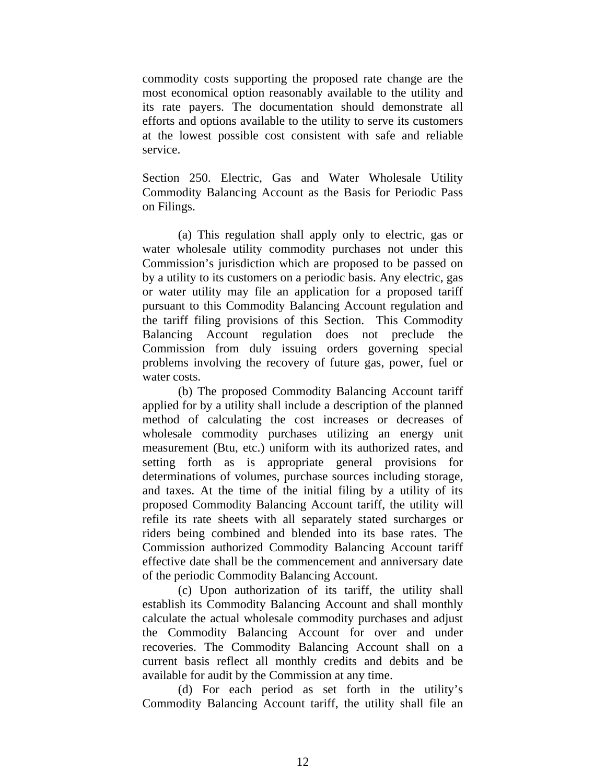commodity costs supporting the proposed rate change are the most economical option reasonably available to the utility and its rate payers. The documentation should demonstrate all efforts and options available to the utility to serve its customers at the lowest possible cost consistent with safe and reliable service.

Section 250. Electric, Gas and Water Wholesale Utility Commodity Balancing Account as the Basis for Periodic Pass on Filings.

(a) This regulation shall apply only to electric, gas or water wholesale utility commodity purchases not under this Commission's jurisdiction which are proposed to be passed on by a utility to its customers on a periodic basis. Any electric, gas or water utility may file an application for a proposed tariff pursuant to this Commodity Balancing Account regulation and the tariff filing provisions of this Section. This Commodity Balancing Account regulation does not preclude the Commission from duly issuing orders governing special problems involving the recovery of future gas, power, fuel or water costs.

(b) The proposed Commodity Balancing Account tariff applied for by a utility shall include a description of the planned method of calculating the cost increases or decreases of wholesale commodity purchases utilizing an energy unit measurement (Btu, etc.) uniform with its authorized rates, and setting forth as is appropriate general provisions for determinations of volumes, purchase sources including storage, and taxes. At the time of the initial filing by a utility of its proposed Commodity Balancing Account tariff, the utility will refile its rate sheets with all separately stated surcharges or riders being combined and blended into its base rates. The Commission authorized Commodity Balancing Account tariff effective date shall be the commencement and anniversary date of the periodic Commodity Balancing Account.

(c) Upon authorization of its tariff, the utility shall establish its Commodity Balancing Account and shall monthly calculate the actual wholesale commodity purchases and adjust the Commodity Balancing Account for over and under recoveries. The Commodity Balancing Account shall on a current basis reflect all monthly credits and debits and be available for audit by the Commission at any time.

(d) For each period as set forth in the utility's Commodity Balancing Account tariff, the utility shall file an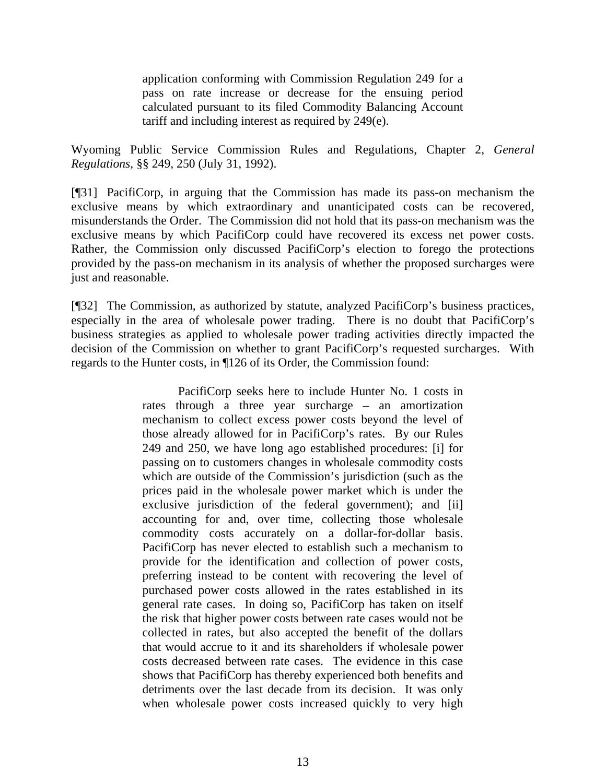application conforming with Commission Regulation 249 for a pass on rate increase or decrease for the ensuing period calculated pursuant to its filed Commodity Balancing Account tariff and including interest as required by 249(e).

Wyoming Public Service Commission Rules and Regulations, Chapter 2, *General Regulations*, §§ 249, 250 (July 31, 1992).

[¶31] PacifiCorp, in arguing that the Commission has made its pass-on mechanism the exclusive means by which extraordinary and unanticipated costs can be recovered, misunderstands the Order. The Commission did not hold that its pass-on mechanism was the exclusive means by which PacifiCorp could have recovered its excess net power costs. Rather, the Commission only discussed PacifiCorp's election to forego the protections provided by the pass-on mechanism in its analysis of whether the proposed surcharges were just and reasonable.

[¶32] The Commission, as authorized by statute, analyzed PacifiCorp's business practices, especially in the area of wholesale power trading. There is no doubt that PacifiCorp's business strategies as applied to wholesale power trading activities directly impacted the decision of the Commission on whether to grant PacifiCorp's requested surcharges. With regards to the Hunter costs, in ¶126 of its Order, the Commission found:

> PacifiCorp seeks here to include Hunter No. 1 costs in rates through a three year surcharge – an amortization mechanism to collect excess power costs beyond the level of those already allowed for in PacifiCorp's rates. By our Rules 249 and 250, we have long ago established procedures: [i] for passing on to customers changes in wholesale commodity costs which are outside of the Commission's jurisdiction (such as the prices paid in the wholesale power market which is under the exclusive jurisdiction of the federal government); and [ii] accounting for and, over time, collecting those wholesale commodity costs accurately on a dollar-for-dollar basis. PacifiCorp has never elected to establish such a mechanism to provide for the identification and collection of power costs, preferring instead to be content with recovering the level of purchased power costs allowed in the rates established in its general rate cases. In doing so, PacifiCorp has taken on itself the risk that higher power costs between rate cases would not be collected in rates, but also accepted the benefit of the dollars that would accrue to it and its shareholders if wholesale power costs decreased between rate cases. The evidence in this case shows that PacifiCorp has thereby experienced both benefits and detriments over the last decade from its decision. It was only when wholesale power costs increased quickly to very high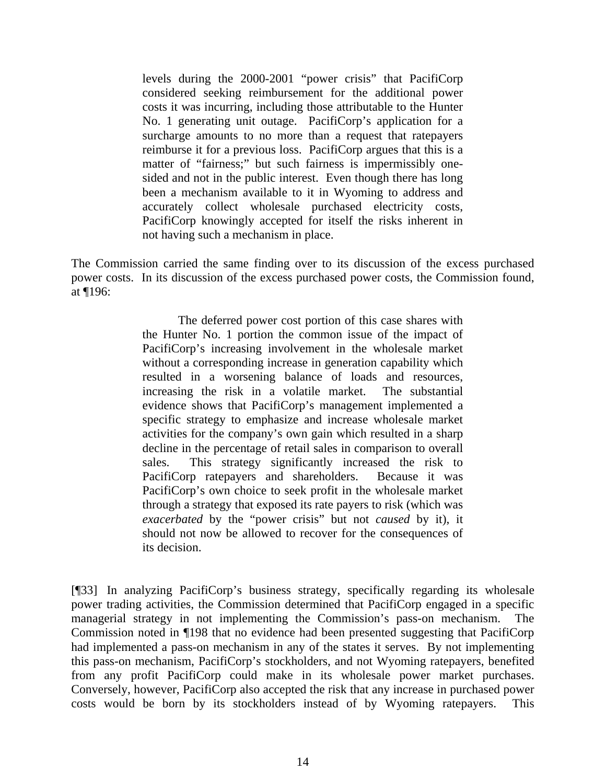levels during the 2000-2001 "power crisis" that PacifiCorp considered seeking reimbursement for the additional power costs it was incurring, including those attributable to the Hunter No. 1 generating unit outage. PacifiCorp's application for a surcharge amounts to no more than a request that ratepayers reimburse it for a previous loss. PacifiCorp argues that this is a matter of "fairness;" but such fairness is impermissibly onesided and not in the public interest. Even though there has long been a mechanism available to it in Wyoming to address and accurately collect wholesale purchased electricity costs, PacifiCorp knowingly accepted for itself the risks inherent in not having such a mechanism in place.

The Commission carried the same finding over to its discussion of the excess purchased power costs. In its discussion of the excess purchased power costs, the Commission found, at ¶196:

> The deferred power cost portion of this case shares with the Hunter No. 1 portion the common issue of the impact of PacifiCorp's increasing involvement in the wholesale market without a corresponding increase in generation capability which resulted in a worsening balance of loads and resources, increasing the risk in a volatile market. The substantial evidence shows that PacifiCorp's management implemented a specific strategy to emphasize and increase wholesale market activities for the company's own gain which resulted in a sharp decline in the percentage of retail sales in comparison to overall sales. This strategy significantly increased the risk to PacifiCorp ratepayers and shareholders. Because it was PacifiCorp's own choice to seek profit in the wholesale market through a strategy that exposed its rate payers to risk (which was *exacerbated* by the "power crisis" but not *caused* by it), it should not now be allowed to recover for the consequences of its decision.

[¶33] In analyzing PacifiCorp's business strategy, specifically regarding its wholesale power trading activities, the Commission determined that PacifiCorp engaged in a specific managerial strategy in not implementing the Commission's pass-on mechanism. Commission noted in ¶198 that no evidence had been presented suggesting that PacifiCorp had implemented a pass-on mechanism in any of the states it serves. By not implementing this pass-on mechanism, PacifiCorp's stockholders, and not Wyoming ratepayers, benefited from any profit PacifiCorp could make in its wholesale power market purchases. Conversely, however, PacifiCorp also accepted the risk that any increase in purchased power costs would be born by its stockholders instead of by Wyoming ratepayers. This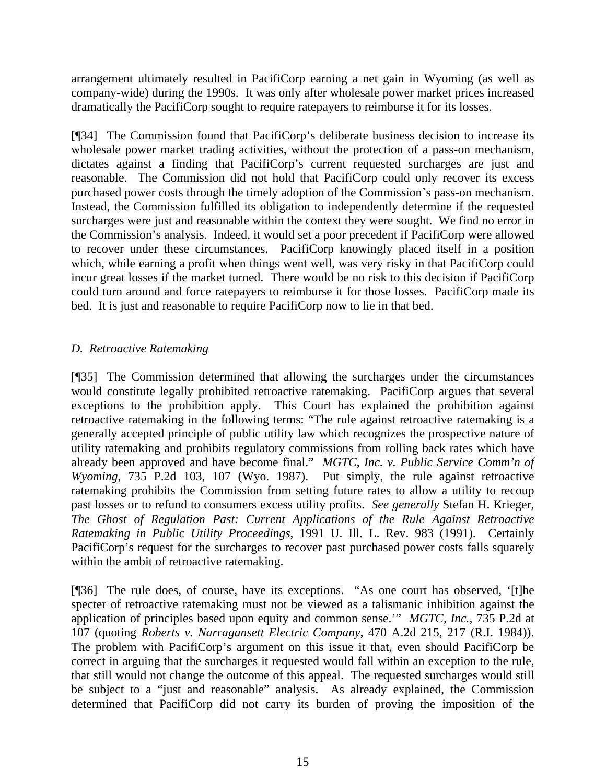arrangement ultimately resulted in PacifiCorp earning a net gain in Wyoming (as well as company-wide) during the 1990s. It was only after wholesale power market prices increased dramatically the PacifiCorp sought to require ratepayers to reimburse it for its losses.

[¶34] The Commission found that PacifiCorp's deliberate business decision to increase its wholesale power market trading activities, without the protection of a pass-on mechanism, dictates against a finding that PacifiCorp's current requested surcharges are just and reasonable. The Commission did not hold that PacifiCorp could only recover its excess purchased power costs through the timely adoption of the Commission's pass-on mechanism. Instead, the Commission fulfilled its obligation to independently determine if the requested surcharges were just and reasonable within the context they were sought. We find no error in the Commission's analysis. Indeed, it would set a poor precedent if PacifiCorp were allowed to recover under these circumstances. PacifiCorp knowingly placed itself in a position which, while earning a profit when things went well, was very risky in that PacifiCorp could incur great losses if the market turned. There would be no risk to this decision if PacifiCorp could turn around and force ratepayers to reimburse it for those losses. PacifiCorp made its bed. It is just and reasonable to require PacifiCorp now to lie in that bed.

## *D. Retroactive Ratemaking*

[¶35] The Commission determined that allowing the surcharges under the circumstances would constitute legally prohibited retroactive ratemaking. PacifiCorp argues that several exceptions to the prohibition apply. This Court has explained the prohibition against retroactive ratemaking in the following terms: "The rule against retroactive ratemaking is a generally accepted principle of public utility law which recognizes the prospective nature of utility ratemaking and prohibits regulatory commissions from rolling back rates which have already been approved and have become final." *MGTC, Inc. v. Public Service Comm'n of Wyoming*, 735 P.2d 103, 107 (Wyo. 1987). Put simply, the rule against retroactive ratemaking prohibits the Commission from setting future rates to allow a utility to recoup past losses or to refund to consumers excess utility profits. *See generally* Stefan H. Krieger, *The Ghost of Regulation Past: Current Applications of the Rule Against Retroactive Ratemaking in Public Utility Proceedings*, 1991 U. Ill. L. Rev. 983 (1991). Certainly PacifiCorp's request for the surcharges to recover past purchased power costs falls squarely within the ambit of retroactive ratemaking.

[¶36] The rule does, of course, have its exceptions. "As one court has observed, '[t]he specter of retroactive ratemaking must not be viewed as a talismanic inhibition against the application of principles based upon equity and common sense.'" *MGTC, Inc.*, 735 P.2d at 107 (quoting *Roberts v. Narragansett Electric Company,* 470 A.2d 215, 217 (R.I. 1984)). The problem with PacifiCorp's argument on this issue it that, even should PacifiCorp be correct in arguing that the surcharges it requested would fall within an exception to the rule, that still would not change the outcome of this appeal. The requested surcharges would still be subject to a "just and reasonable" analysis. As already explained, the Commission determined that PacifiCorp did not carry its burden of proving the imposition of the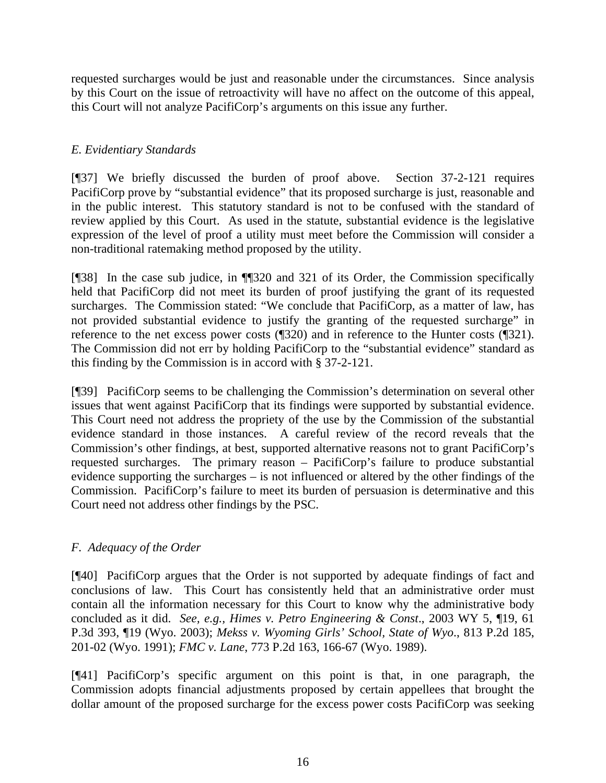requested surcharges would be just and reasonable under the circumstances. Since analysis by this Court on the issue of retroactivity will have no affect on the outcome of this appeal, this Court will not analyze PacifiCorp's arguments on this issue any further.

## *E. Evidentiary Standards*

[¶37] We briefly discussed the burden of proof above. Section 37-2-121 requires PacifiCorp prove by "substantial evidence" that its proposed surcharge is just, reasonable and in the public interest. This statutory standard is not to be confused with the standard of review applied by this Court. As used in the statute, substantial evidence is the legislative expression of the level of proof a utility must meet before the Commission will consider a non-traditional ratemaking method proposed by the utility.

[¶38] In the case sub judice, in ¶¶320 and 321 of its Order, the Commission specifically held that PacifiCorp did not meet its burden of proof justifying the grant of its requested surcharges. The Commission stated: "We conclude that PacifiCorp, as a matter of law, has not provided substantial evidence to justify the granting of the requested surcharge" in reference to the net excess power costs (¶320) and in reference to the Hunter costs (¶321). The Commission did not err by holding PacifiCorp to the "substantial evidence" standard as this finding by the Commission is in accord with § 37-2-121.

[¶39] PacifiCorp seems to be challenging the Commission's determination on several other issues that went against PacifiCorp that its findings were supported by substantial evidence. This Court need not address the propriety of the use by the Commission of the substantial evidence standard in those instances. A careful review of the record reveals that the Commission's other findings, at best, supported alternative reasons not to grant PacifiCorp's requested surcharges. The primary reason – PacifiCorp's failure to produce substantial evidence supporting the surcharges – is not influenced or altered by the other findings of the Commission. PacifiCorp's failure to meet its burden of persuasion is determinative and this Court need not address other findings by the PSC.

### *F. Adequacy of the Order*

[¶40] PacifiCorp argues that the Order is not supported by adequate findings of fact and conclusions of law. This Court has consistently held that an administrative order must contain all the information necessary for this Court to know why the administrative body concluded as it did. *See, e.g., Himes v. Petro Engineering & Const*., 2003 WY 5, ¶19, 61 P.3d 393, ¶19 (Wyo. 2003); *Mekss v. Wyoming Girls' School, State of Wyo*., 813 P.2d 185, 201-02 (Wyo. 1991); *FMC v. Lane*, 773 P.2d 163, 166-67 (Wyo. 1989).

[¶41] PacifiCorp's specific argument on this point is that, in one paragraph, the Commission adopts financial adjustments proposed by certain appellees that brought the dollar amount of the proposed surcharge for the excess power costs PacifiCorp was seeking